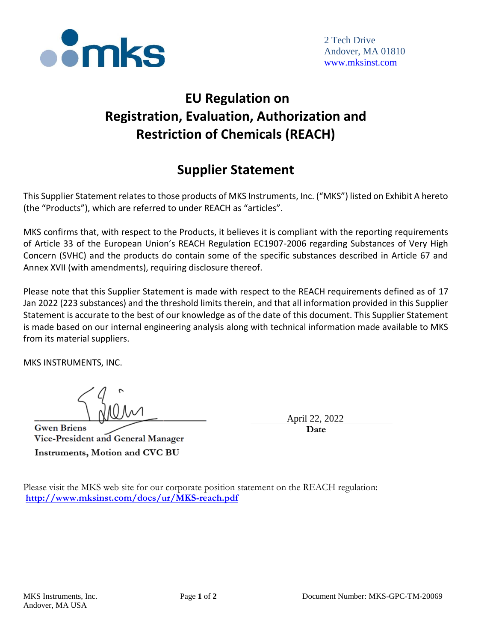

## **EU Regulation on Registration, Evaluation, Authorization and Restriction of Chemicals (REACH)**

## **Supplier Statement**

This Supplier Statement relates to those products of MKS Instruments, Inc. ("MKS") listed on Exhibit A hereto (the "Products"), which are referred to under REACH as "articles".

MKS confirms that, with respect to the Products, it believes it is compliant with the reporting requirements of Article 33 of the European Union's REACH Regulation EC1907-2006 regarding Substances of Very High Concern (SVHC) and the products do contain some of the specific substances described in Article 67 and Annex XVII (with amendments), requiring disclosure thereof.

Please note that this Supplier Statement is made with respect to the REACH requirements defined as of 17 Jan 2022 (223 substances) and the threshold limits therein, and that all information provided in this Supplier Statement is accurate to the best of our knowledge as of the date of this document. This Supplier Statement is made based on our internal engineering analysis along with technical information made available to MKS from its material suppliers.

MKS INSTRUMENTS, INC.

**Gwen Briens** Vice-President and General Manager Instruments, Motion and CVC BU

April 22  **Date**

Please visit the MKS web site for our corporate position statement on the REACH regulation: **<http://www.mksinst.com/docs/ur/MKS-reach.pdf>**